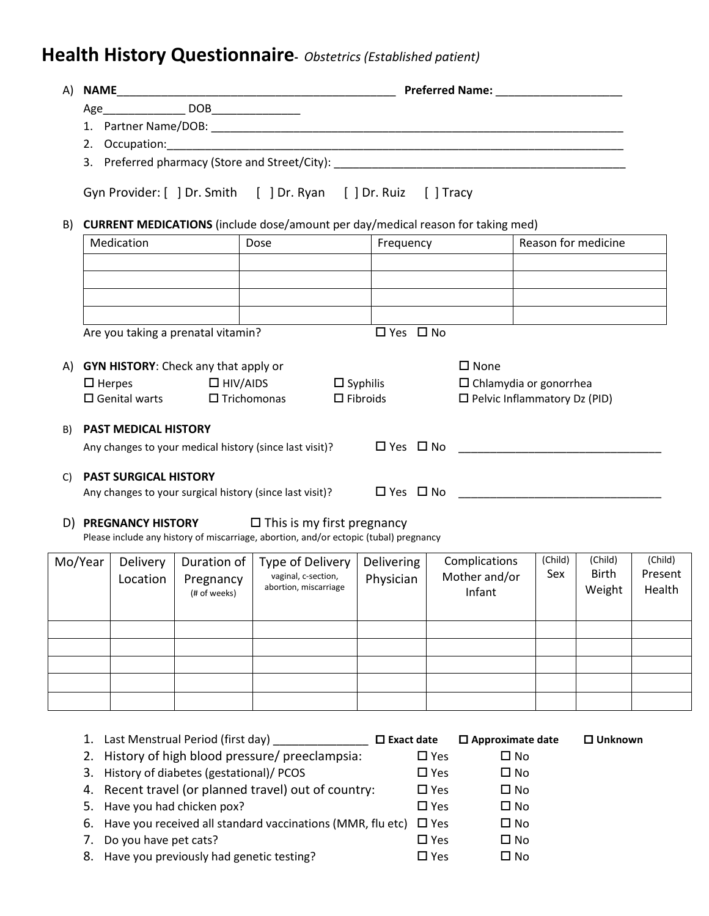## **Health History Questionnaire-** *Obstetrics (Established patient)*

| A)                                 |                                                                                                                                        |                             |                           |                                                                                       |                      |                                      |                     |                         |                    |
|------------------------------------|----------------------------------------------------------------------------------------------------------------------------------------|-----------------------------|---------------------------|---------------------------------------------------------------------------------------|----------------------|--------------------------------------|---------------------|-------------------------|--------------------|
|                                    |                                                                                                                                        |                             |                           |                                                                                       |                      |                                      |                     |                         |                    |
|                                    |                                                                                                                                        |                             |                           |                                                                                       |                      |                                      |                     |                         |                    |
|                                    | 2.                                                                                                                                     |                             |                           |                                                                                       |                      |                                      |                     |                         |                    |
|                                    |                                                                                                                                        |                             |                           |                                                                                       |                      |                                      |                     |                         |                    |
|                                    |                                                                                                                                        |                             |                           | Gyn Provider: [ ] Dr. Smith [ ] Dr. Ryan [ ] Dr. Ruiz                                 |                      | $[$ Tracy                            |                     |                         |                    |
| B)                                 | CURRENT MEDICATIONS (include dose/amount per day/medical reason for taking med)                                                        |                             |                           |                                                                                       |                      |                                      |                     |                         |                    |
|                                    | Medication                                                                                                                             |                             |                           | Dose                                                                                  | Frequency            |                                      | Reason for medicine |                         |                    |
|                                    |                                                                                                                                        |                             |                           |                                                                                       |                      |                                      |                     |                         |                    |
|                                    |                                                                                                                                        |                             |                           |                                                                                       |                      |                                      |                     |                         |                    |
|                                    | Are you taking a prenatal vitamin?                                                                                                     |                             |                           |                                                                                       | $\Box$ Yes $\Box$ No |                                      |                     |                         |                    |
| A)                                 |                                                                                                                                        |                             |                           |                                                                                       |                      | $\square$ None                       |                     |                         |                    |
|                                    | <b>GYN HISTORY:</b> Check any that apply or<br>$\Box$ HIV/AIDS<br>$\square$ Syphilis<br>$\Box$ Herpes<br>$\Box$ Chlamydia or gonorrhea |                             |                           |                                                                                       |                      |                                      |                     |                         |                    |
|                                    | $\Box$ Fibroids<br>$\Box$ Pelvic Inflammatory Dz (PID)<br>$\square$ Genital warts<br>$\Box$ Trichomonas                                |                             |                           |                                                                                       |                      |                                      |                     |                         |                    |
| B)                                 |                                                                                                                                        | <b>PAST MEDICAL HISTORY</b> |                           |                                                                                       |                      |                                      |                     |                         |                    |
|                                    |                                                                                                                                        |                             |                           | Any changes to your medical history (since last visit)?                               |                      | $\square$ Yes $\square$ No $\square$ |                     |                         |                    |
| <b>PAST SURGICAL HISTORY</b><br>C) |                                                                                                                                        |                             |                           |                                                                                       |                      |                                      |                     |                         |                    |
|                                    | Any changes to your surgical history (since last visit)?                                                                               |                             |                           |                                                                                       |                      |                                      |                     |                         |                    |
|                                    |                                                                                                                                        |                             |                           | D) <b>PREGNANCY HISTORY</b> $\Box$ This is my first pregnancy                         |                      |                                      |                     |                         |                    |
|                                    |                                                                                                                                        |                             |                           | Please include any history of miscarriage, abortion, and/or ectopic (tubal) pregnancy |                      |                                      |                     |                         |                    |
|                                    | Mo/Year                                                                                                                                | Delivery                    | Duration of               | Type of Delivery                                                                      | Delivering           | Complications                        | (Child)<br>Sex      | (Child)<br><b>Birth</b> | (Child)<br>Present |
|                                    |                                                                                                                                        | Location                    | Pregnancy<br>(# of weeks) | vaginal, c-section,<br>abortion, miscarriage                                          | Physician            | Mother and/or<br>Infant              |                     | Weight                  | Health             |
|                                    |                                                                                                                                        |                             |                           |                                                                                       |                      |                                      |                     |                         |                    |
|                                    |                                                                                                                                        |                             |                           |                                                                                       |                      |                                      |                     |                         |                    |
|                                    |                                                                                                                                        |                             |                           |                                                                                       |                      |                                      |                     |                         |                    |
|                                    |                                                                                                                                        |                             |                           |                                                                                       |                      |                                      |                     |                         |                    |
|                                    |                                                                                                                                        |                             |                           |                                                                                       |                      |                                      |                     |                         |                    |
|                                    |                                                                                                                                        |                             |                           |                                                                                       |                      |                                      |                     |                         |                    |
|                                    |                                                                                                                                        |                             |                           |                                                                                       |                      |                                      |                     |                         |                    |

|    | Last Menstrual Period (first day)                                        | $\square$ Exact date | $\Box$ Approximate date | $\Box$ Unknown |
|----|--------------------------------------------------------------------------|----------------------|-------------------------|----------------|
|    | 2. History of high blood pressure/ preeclampsia:                         | $\Box$ Yes           | $\square$ No            |                |
|    | 3. History of diabetes (gestational)/ PCOS                               | $\square$ Yes        | $\square$ No            |                |
|    | 4. Recent travel (or planned travel) out of country:                     | $\square$ Yes        | $\square$ No            |                |
|    | 5. Have you had chicken pox?                                             | $\square$ Yes        | $\square$ No            |                |
|    | 6. Have you received all standard vaccinations (MMR, flu etc) $\Box$ Yes |                      | $\square$ No            |                |
| 7. | Do you have pet cats?                                                    | $\square$ Yes        | $\square$ No            |                |
|    | 8. Have you previously had genetic testing?                              | $\square$ Yes        | $\square$ No            |                |